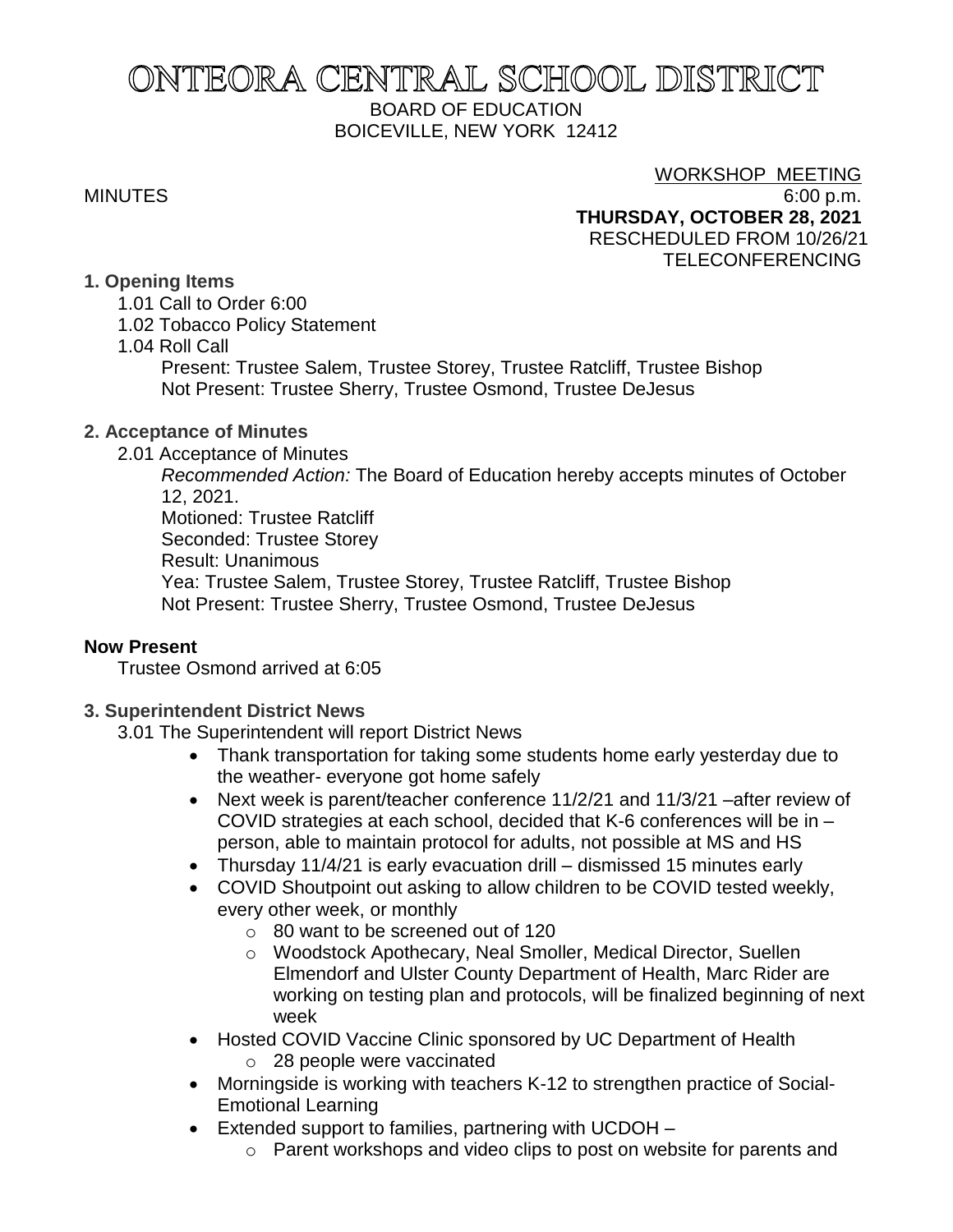# ONTEORA CENTRAL SCHOOL DISTRICT BOARD OF EDUCATION BOICEVILLE, NEW YORK 12412

### WORKSHOP MEETING

MINUTES 6:00 p.m. **THURSDAY, OCTOBER 28, 2021** RESCHEDULED FROM 10/26/21 TELECONFERENCING

# **1. Opening Items**

- 1.01 Call to Order 6:00
- 1.02 Tobacco Policy Statement
- 1.04 Roll Call

Present: Trustee Salem, Trustee Storey, Trustee Ratcliff, Trustee Bishop Not Present: Trustee Sherry, Trustee Osmond, Trustee DeJesus

# **2. Acceptance of Minutes**

2.01 Acceptance of Minutes

*Recommended Action:* The Board of Education hereby accepts minutes of October 12, 2021.

Motioned: Trustee Ratcliff Seconded: Trustee Storey Result: Unanimous Yea: Trustee Salem, Trustee Storey, Trustee Ratcliff, Trustee Bishop Not Present: Trustee Sherry, Trustee Osmond, Trustee DeJesus

# **Now Present**

Trustee Osmond arrived at 6:05

# **3. Superintendent District News**

3.01 The Superintendent will report District News

- Thank transportation for taking some students home early yesterday due to the weather- everyone got home safely
- Next week is parent/teacher conference 11/2/21 and 11/3/21 –after review of COVID strategies at each school, decided that K-6 conferences will be in – person, able to maintain protocol for adults, not possible at MS and HS
- Thursday 11/4/21 is early evacuation drill dismissed 15 minutes early
- COVID Shoutpoint out asking to allow children to be COVID tested weekly, every other week, or monthly
	- o 80 want to be screened out of 120
	- o Woodstock Apothecary, Neal Smoller, Medical Director, Suellen Elmendorf and Ulster County Department of Health, Marc Rider are working on testing plan and protocols, will be finalized beginning of next week
- Hosted COVID Vaccine Clinic sponsored by UC Department of Health
	- o 28 people were vaccinated
- Morningside is working with teachers K-12 to strengthen practice of Social-Emotional Learning
- Extended support to families, partnering with UCDOH
	- o Parent workshops and video clips to post on website for parents and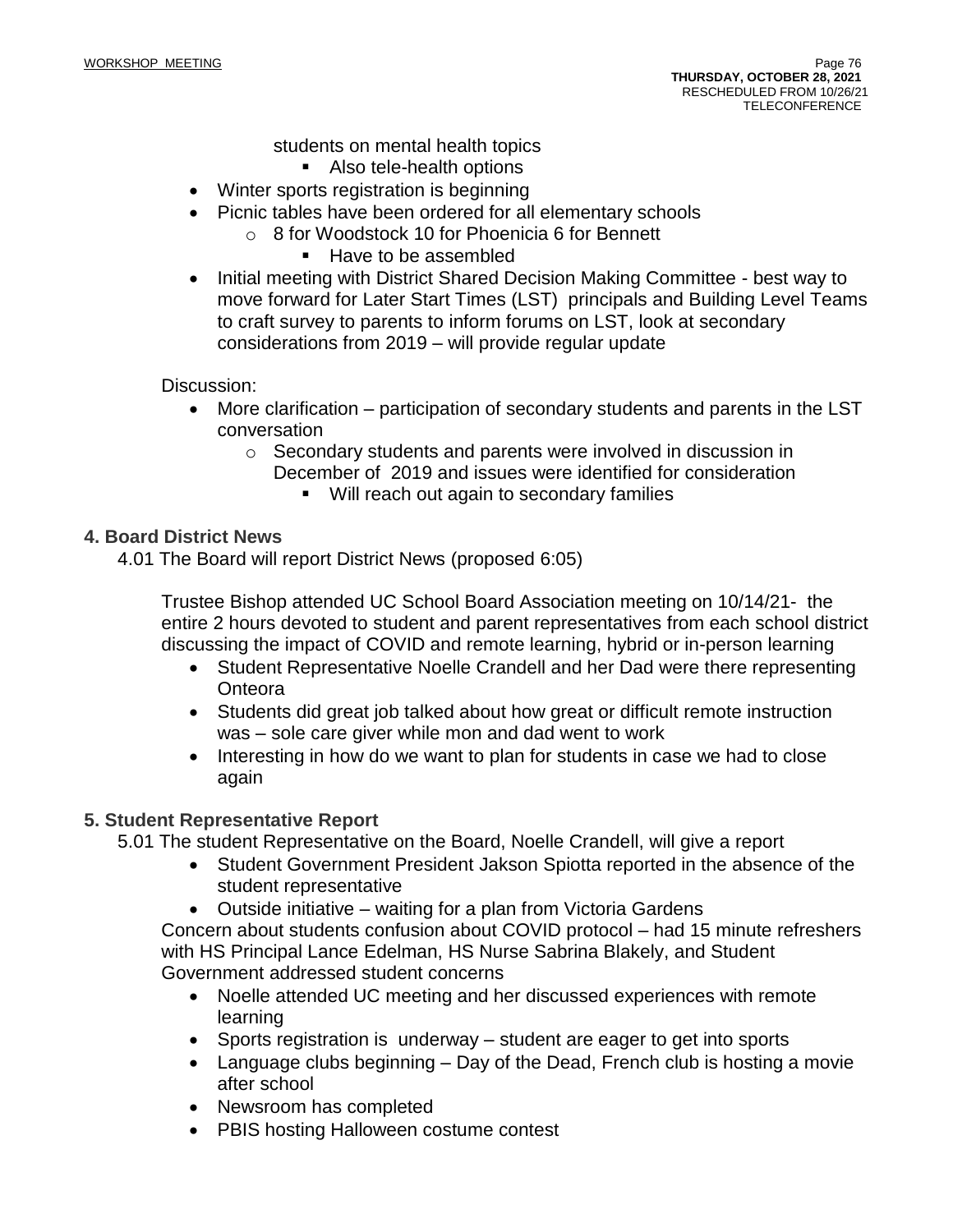students on mental health topics

- Also tele-health options
- Winter sports registration is beginning
- Picnic tables have been ordered for all elementary schools
	- o 8 for Woodstock 10 for Phoenicia 6 for Bennett
		- Have to be assembled
- Initial meeting with District Shared Decision Making Committee best way to move forward for Later Start Times (LST) principals and Building Level Teams to craft survey to parents to inform forums on LST, look at secondary considerations from 2019 – will provide regular update

#### Discussion:

- More clarification participation of secondary students and parents in the LST conversation
	- o Secondary students and parents were involved in discussion in December of 2019 and issues were identified for consideration
		- Will reach out again to secondary families

#### **4. Board District News**

4.01 The Board will report District News (proposed 6:05)

Trustee Bishop attended UC School Board Association meeting on 10/14/21- the entire 2 hours devoted to student and parent representatives from each school district discussing the impact of COVID and remote learning, hybrid or in-person learning

- Student Representative Noelle Crandell and her Dad were there representing Onteora
- Students did great job talked about how great or difficult remote instruction was – sole care giver while mon and dad went to work
- Interesting in how do we want to plan for students in case we had to close again

#### **5. Student Representative Report**

5.01 The student Representative on the Board, Noelle Crandell, will give a report

- Student Government President Jakson Spiotta reported in the absence of the student representative
- Outside initiative waiting for a plan from Victoria Gardens

Concern about students confusion about COVID protocol – had 15 minute refreshers with HS Principal Lance Edelman, HS Nurse Sabrina Blakely, and Student Government addressed student concerns

- Noelle attended UC meeting and her discussed experiences with remote learning
- Sports registration is underway student are eager to get into sports
- Language clubs beginning Day of the Dead, French club is hosting a movie after school
- Newsroom has completed
- PBIS hosting Halloween costume contest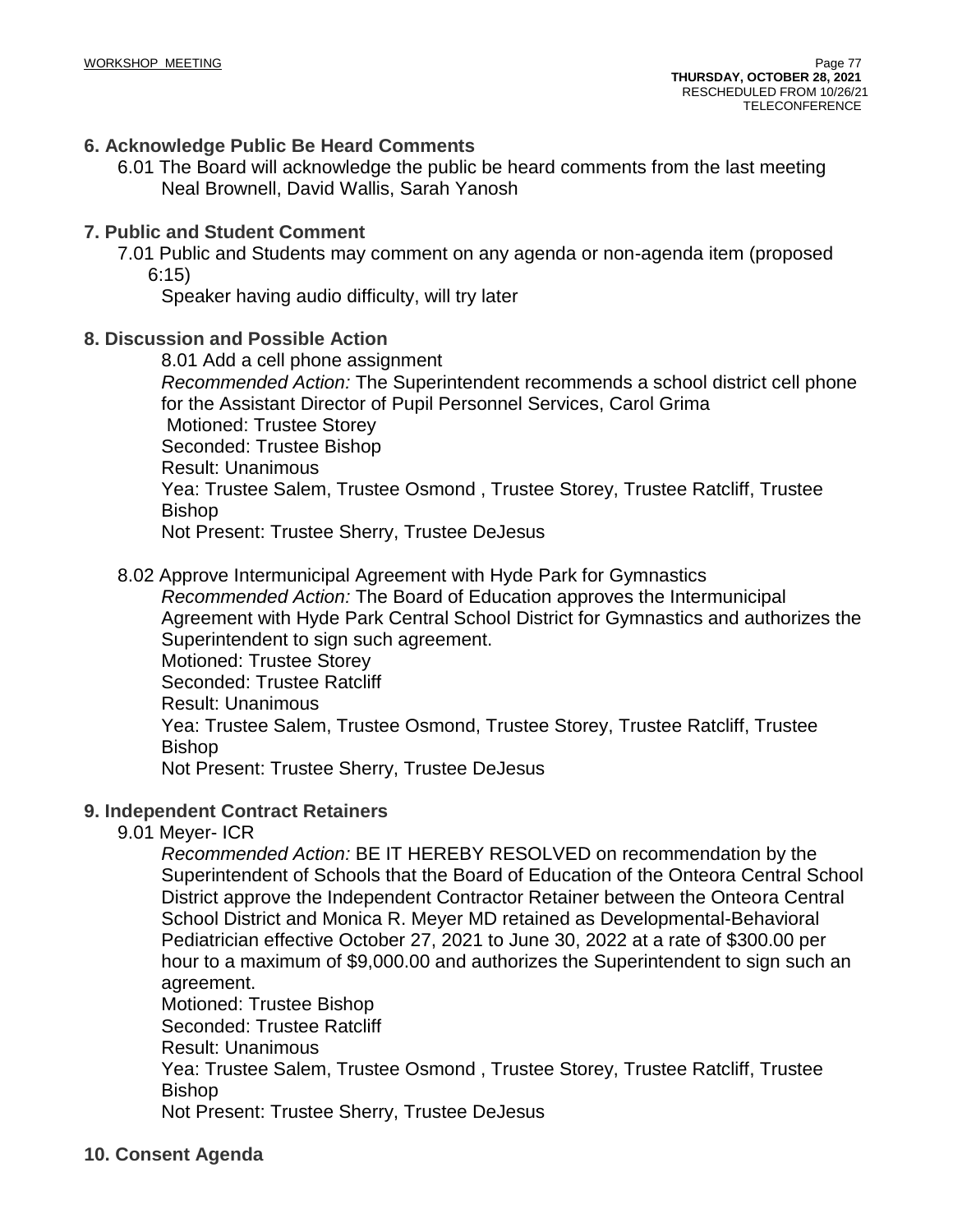### **6. Acknowledge Public Be Heard Comments**

6.01 The Board will acknowledge the public be heard comments from the last meeting Neal Brownell, David Wallis, Sarah Yanosh

#### **7. Public and Student Comment**

7.01 Public and Students may comment on any agenda or non-agenda item (proposed 6:15)

Speaker having audio difficulty, will try later

## **8. Discussion and Possible Action**

8.01 Add a cell phone assignment *Recommended Action:* The Superintendent recommends a school district cell phone for the Assistant Director of Pupil Personnel Services, Carol Grima Motioned: Trustee Storey Seconded: Trustee Bishop Result: Unanimous Yea: Trustee Salem, Trustee Osmond , Trustee Storey, Trustee Ratcliff, Trustee Bishop Not Present: Trustee Sherry, Trustee DeJesus

#### 8.02 Approve Intermunicipal Agreement with Hyde Park for Gymnastics

*Recommended Action:* The Board of Education approves the Intermunicipal Agreement with Hyde Park Central School District for Gymnastics and authorizes the Superintendent to sign such agreement. Motioned: Trustee Storey Seconded: Trustee Ratcliff Result: Unanimous Yea: Trustee Salem, Trustee Osmond, Trustee Storey, Trustee Ratcliff, Trustee Bishop

Not Present: Trustee Sherry, Trustee DeJesus

#### **9. Independent Contract Retainers**

9.01 Meyer- ICR

*Recommended Action:* BE IT HEREBY RESOLVED on recommendation by the Superintendent of Schools that the Board of Education of the Onteora Central School District approve the Independent Contractor Retainer between the Onteora Central School District and Monica R. Meyer MD retained as Developmental-Behavioral Pediatrician effective October 27, 2021 to June 30, 2022 at a rate of \$300.00 per hour to a maximum of \$9,000.00 and authorizes the Superintendent to sign such an agreement.

Motioned: Trustee Bishop

Seconded: Trustee Ratcliff

Result: Unanimous

Yea: Trustee Salem, Trustee Osmond , Trustee Storey, Trustee Ratcliff, Trustee Bishop

Not Present: Trustee Sherry, Trustee DeJesus

#### **10. Consent Agenda**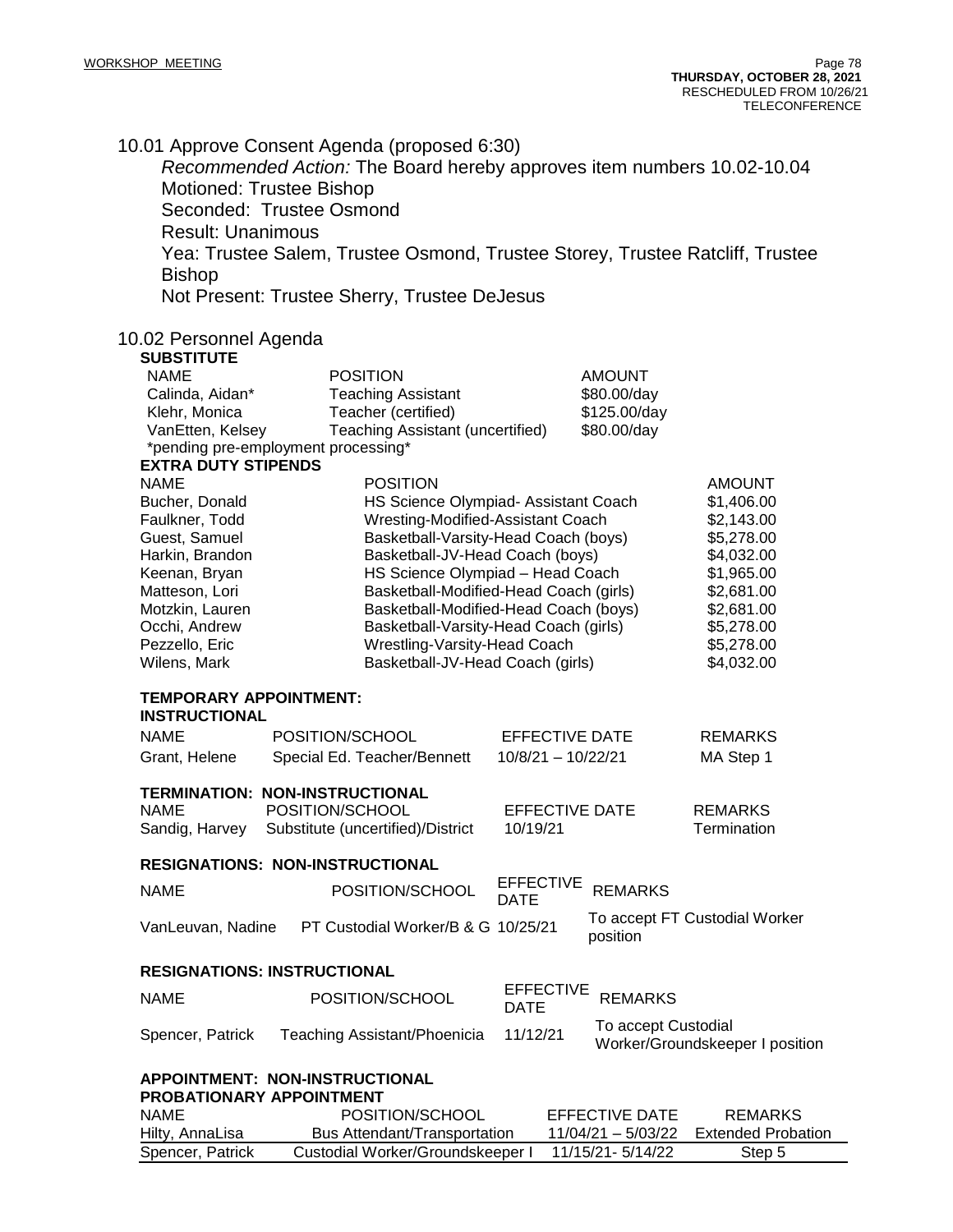10.01 Approve Consent Agenda (proposed 6:30)

*Recommended Action:* The Board hereby approves item numbers 10.02-10.04 Motioned: Trustee Bishop

Seconded: Trustee Osmond

Result: Unanimous

Yea: Trustee Salem, Trustee Osmond, Trustee Storey, Trustee Ratcliff, Trustee Bishop

Not Present: Trustee Sherry, Trustee DeJesus

#### 10.02 Personnel Agenda

| <b>SUBSTITUTE</b>                                     |                                                                                 |                                 |                       |                                 |
|-------------------------------------------------------|---------------------------------------------------------------------------------|---------------------------------|-----------------------|---------------------------------|
| <b>NAME</b>                                           | <b>POSITION</b>                                                                 |                                 | AMOUNT                |                                 |
| Calinda, Aidan*                                       | <b>Teaching Assistant</b>                                                       |                                 | \$80.00/day           |                                 |
| Klehr, Monica                                         | Teacher (certified)                                                             |                                 | \$125.00/day          |                                 |
| VanEtten, Kelsey                                      | Teaching Assistant (uncertified)                                                |                                 | \$80.00/day           |                                 |
|                                                       | *pending pre-employment processing*                                             |                                 |                       |                                 |
| <b>EXTRA DUTY STIPENDS</b>                            |                                                                                 |                                 |                       |                                 |
| <b>NAME</b>                                           | <b>POSITION</b>                                                                 |                                 |                       | <b>AMOUNT</b>                   |
| Bucher, Donald                                        | HS Science Olympiad- Assistant Coach                                            |                                 |                       | \$1,406.00                      |
| Faulkner, Todd                                        | Wresting-Modified-Assistant Coach                                               |                                 |                       | \$2,143.00                      |
| Guest, Samuel                                         | Basketball-Varsity-Head Coach (boys)                                            |                                 |                       | \$5,278.00                      |
| Harkin, Brandon                                       | Basketball-JV-Head Coach (boys)                                                 |                                 |                       | \$4,032.00                      |
| Keenan, Bryan<br>Matteson, Lori                       | HS Science Olympiad - Head Coach                                                |                                 |                       | \$1,965.00<br>\$2,681.00        |
| Motzkin, Lauren                                       | Basketball-Modified-Head Coach (girls)<br>Basketball-Modified-Head Coach (boys) |                                 |                       | \$2,681.00                      |
| Occhi, Andrew                                         |                                                                                 |                                 |                       | \$5,278.00                      |
| Pezzello, Eric                                        | Basketball-Varsity-Head Coach (girls)<br>Wrestling-Varsity-Head Coach           |                                 |                       | \$5,278.00                      |
| Wilens, Mark                                          | Basketball-JV-Head Coach (girls)                                                |                                 |                       | \$4,032.00                      |
|                                                       |                                                                                 |                                 |                       |                                 |
| <b>TEMPORARY APPOINTMENT:</b><br><b>INSTRUCTIONAL</b> |                                                                                 |                                 |                       |                                 |
| <b>NAME</b>                                           | POSITION/SCHOOL                                                                 | <b>EFFECTIVE DATE</b>           |                       | <b>REMARKS</b>                  |
| Grant, Helene                                         | Special Ed. Teacher/Bennett                                                     | $10/8/21 - 10/22/21$            |                       | MA Step 1                       |
|                                                       |                                                                                 |                                 |                       |                                 |
|                                                       | TERMINATION: NON-INSTRUCTIONAL                                                  |                                 |                       |                                 |
| <b>NAME</b>                                           | POSITION/SCHOOL                                                                 | <b>EFFECTIVE DATE</b>           |                       | <b>REMARKS</b>                  |
| Sandig, Harvey                                        | Substitute (uncertified)/District                                               | 10/19/21                        |                       | Termination                     |
|                                                       | <b>RESIGNATIONS: NON-INSTRUCTIONAL</b>                                          |                                 |                       |                                 |
| <b>NAME</b>                                           |                                                                                 | <b>EFFECTIVE</b>                | <b>REMARKS</b>        |                                 |
|                                                       | POSITION/SCHOOL                                                                 | <b>DATE</b>                     |                       |                                 |
| VanLeuvan, Nadine                                     | PT Custodial Worker/B & G 10/25/21                                              |                                 | position              | To accept FT Custodial Worker   |
|                                                       | <b>RESIGNATIONS: INSTRUCTIONAL</b>                                              |                                 |                       |                                 |
| <b>NAME</b>                                           | POSITION/SCHOOL                                                                 | <b>EFFECTIVE</b><br><b>DATE</b> | <b>REMARKS</b>        |                                 |
| Spencer, Patrick                                      | Teaching Assistant/Phoenicia                                                    | 11/12/21                        | To accept Custodial   | Worker/Groundskeeper I position |
|                                                       | APPOINTMENT: NON-INSTRUCTIONAL                                                  |                                 |                       |                                 |
| <b>PROBATIONARY APPOINTMENT</b>                       |                                                                                 |                                 |                       |                                 |
| <b>NAME</b>                                           | POSITION/SCHOOL                                                                 |                                 | <b>EFFECTIVE DATE</b> | <b>REMARKS</b>                  |
| Hilty, AnnaLisa                                       | Bus Attendant/Transportation                                                    |                                 | 11/04/21 - 5/03/22    | <b>Extended Probation</b>       |
| Spencer, Patrick                                      | Custodial Worker/Groundskeeper I                                                |                                 | 11/15/21-5/14/22      | Step 5                          |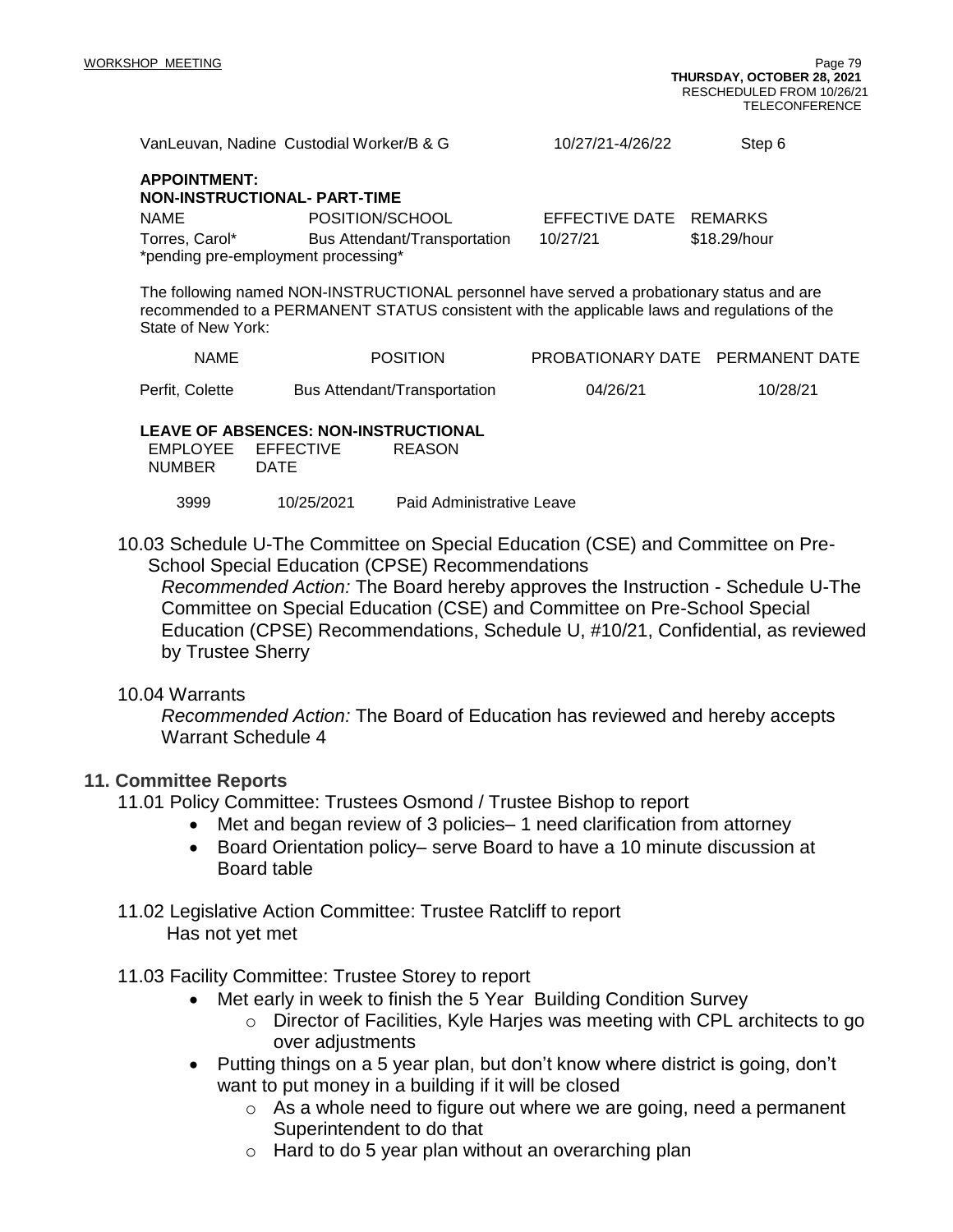| VanLeuvan, Nadine Custodial Worker/B & G                                                                                                                                                                        |                              | 10/27/21-4/26/22 | Step 6                           |  |  |
|-----------------------------------------------------------------------------------------------------------------------------------------------------------------------------------------------------------------|------------------------------|------------------|----------------------------------|--|--|
| <b>APPOINTMENT:</b><br><b>NON-INSTRUCTIONAL- PART-TIME</b>                                                                                                                                                      |                              |                  |                                  |  |  |
| <b>NAME</b>                                                                                                                                                                                                     | POSITION/SCHOOL              | EFFECTIVE DATE   | <b>REMARKS</b>                   |  |  |
| Torres, Carol*                                                                                                                                                                                                  | Bus Attendant/Transportation | 10/27/21         | \$18.29/hour                     |  |  |
| *pending pre-employment processing*                                                                                                                                                                             |                              |                  |                                  |  |  |
| The following named NON-INSTRUCTIONAL personnel have served a probationary status and are<br>recommended to a PERMANENT STATUS consistent with the applicable laws and regulations of the<br>State of New York: |                              |                  |                                  |  |  |
| <b>NAME</b>                                                                                                                                                                                                     | <b>POSITION</b>              |                  | PROBATIONARY DATE PERMANENT DATE |  |  |
| Perfit, Colette                                                                                                                                                                                                 | Bus Attendant/Transportation | 04/26/21         | 10/28/21                         |  |  |

#### **LEAVE OF ABSENCES: NON-INSTRUCTIONAL**

| EMPLOYEE EFFECTIVE |      | <b>REASON</b> |
|--------------------|------|---------------|
| <b>NUMBER</b>      | DATE |               |

3999 10/25/2021 Paid Administrative Leave

10.03 Schedule U-The Committee on Special Education (CSE) and Committee on Pre-School Special Education (CPSE) Recommendations

*Recommended Action:* The Board hereby approves the Instruction - Schedule U-The Committee on Special Education (CSE) and Committee on Pre-School Special Education (CPSE) Recommendations, Schedule U, #10/21, Confidential, as reviewed by Trustee Sherry

#### 10.04 Warrants

*Recommended Action:* The Board of Education has reviewed and hereby accepts Warrant Schedule 4

#### **11. Committee Reports**

- 11.01 Policy Committee: Trustees Osmond / Trustee Bishop to report
	- Met and began review of 3 policies– 1 need clarification from attorney
	- Board Orientation policy– serve Board to have a 10 minute discussion at Board table
- 11.02 Legislative Action Committee: Trustee Ratcliff to report Has not yet met

#### 11.03 Facility Committee: Trustee Storey to report

- Met early in week to finish the 5 Year Building Condition Survey
	- o Director of Facilities, Kyle Harjes was meeting with CPL architects to go over adjustments
- Putting things on a 5 year plan, but don't know where district is going, don't want to put money in a building if it will be closed
	- o As a whole need to figure out where we are going, need a permanent Superintendent to do that
	- o Hard to do 5 year plan without an overarching plan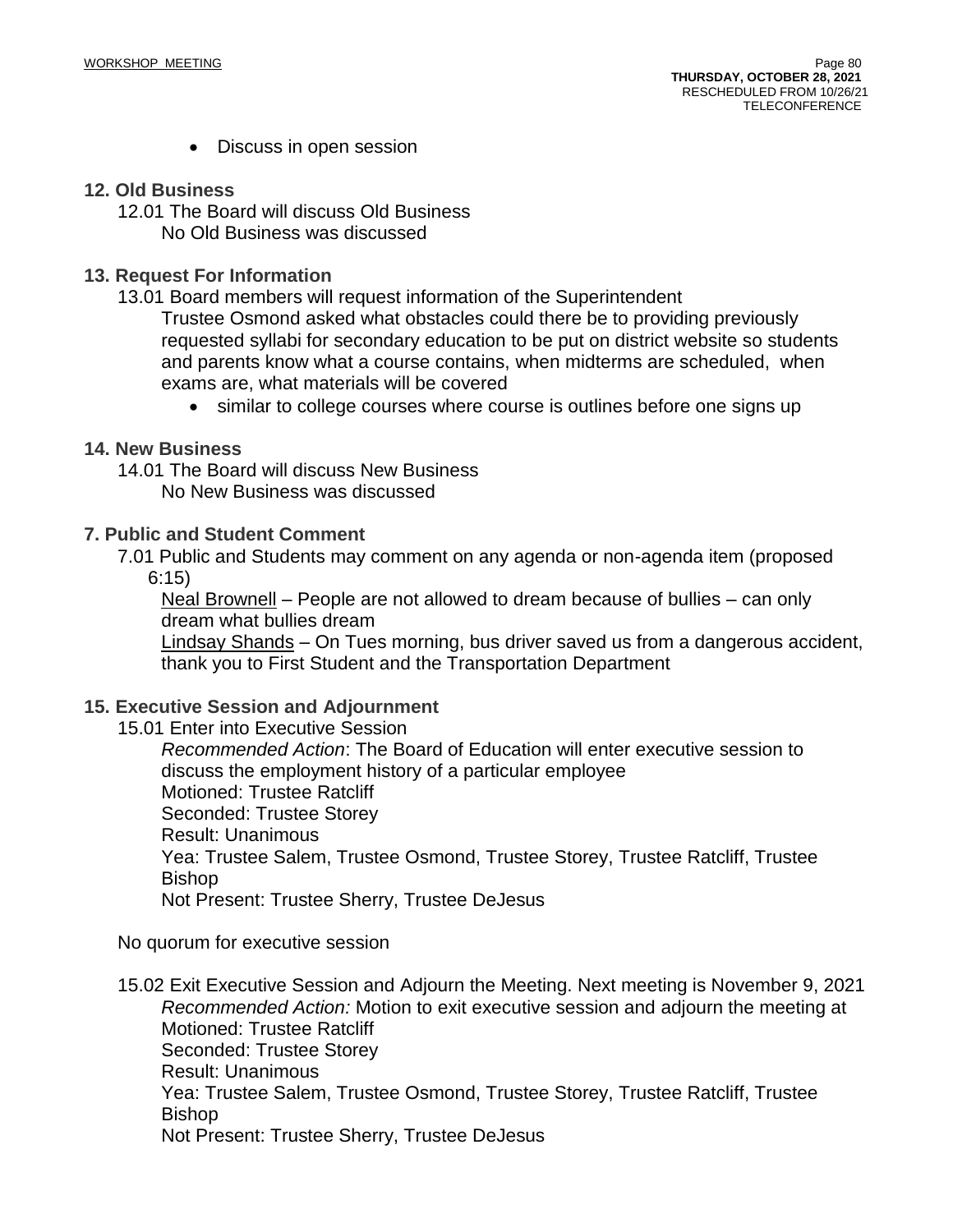• Discuss in open session

#### **12. Old Business**

12.01 The Board will discuss Old Business No Old Business was discussed

#### **13. Request For Information**

13.01 Board members will request information of the Superintendent

Trustee Osmond asked what obstacles could there be to providing previously requested syllabi for secondary education to be put on district website so students and parents know what a course contains, when midterms are scheduled, when exams are, what materials will be covered

• similar to college courses where course is outlines before one signs up

#### **14. New Business**

14.01 The Board will discuss New Business No New Business was discussed

#### **7. Public and Student Comment**

7.01 Public and Students may comment on any agenda or non-agenda item (proposed

6:15)

Neal Brownell – People are not allowed to dream because of bullies – can only dream what bullies dream

Lindsay Shands – On Tues morning, bus driver saved us from a dangerous accident, thank you to First Student and the Transportation Department

#### **15. Executive Session and Adjournment**

15.01 Enter into Executive Session

*Recommended Action*: The Board of Education will enter executive session to discuss the employment history of a particular employee Motioned: Trustee Ratcliff Seconded: Trustee Storey Result: Unanimous Yea: Trustee Salem, Trustee Osmond, Trustee Storey, Trustee Ratcliff, Trustee Bishop Not Present: Trustee Sherry, Trustee DeJesus

No quorum for executive session

15.02 Exit Executive Session and Adjourn the Meeting. Next meeting is November 9, 2021 *Recommended Action:* Motion to exit executive session and adjourn the meeting at Motioned: Trustee Ratcliff Seconded: Trustee Storey Result: Unanimous Yea: Trustee Salem, Trustee Osmond, Trustee Storey, Trustee Ratcliff, Trustee Bishop Not Present: Trustee Sherry, Trustee DeJesus